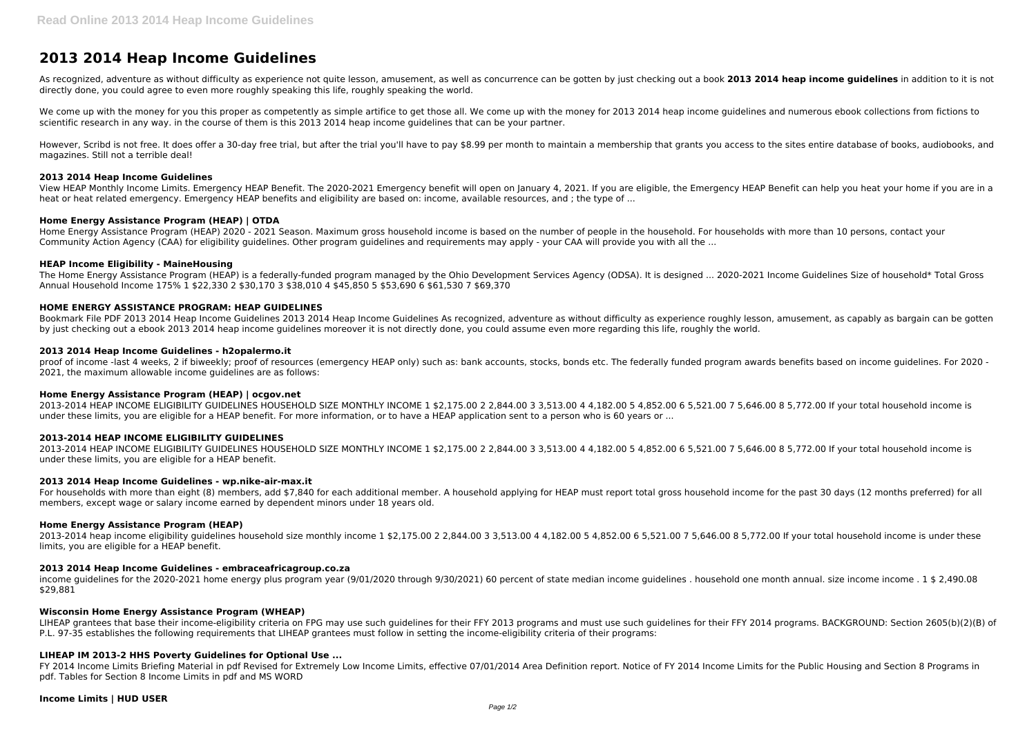# **2013 2014 Heap Income Guidelines**

As recognized, adventure as without difficulty as experience not quite lesson, amusement, as well as concurrence can be gotten by just checking out a book **2013 2014 heap income guidelines** in addition to it is not directly done, you could agree to even more roughly speaking this life, roughly speaking the world.

We come up with the money for you this proper as competently as simple artifice to get those all. We come up with the money for 2013 2014 heap income guidelines and numerous ebook collections from fictions to scientific research in any way. in the course of them is this 2013 2014 heap income guidelines that can be your partner.

However, Scribd is not free. It does offer a 30-day free trial, but after the trial you'll have to pay \$8.99 per month to maintain a membership that grants you access to the sites entire database of books, audiobooks, and magazines. Still not a terrible deal!

#### **2013 2014 Heap Income Guidelines**

The Home Energy Assistance Program (HEAP) is a federally-funded program managed by the Ohio Development Services Agency (ODSA). It is designed ... 2020-2021 Income Guidelines Size of household\* Total Gross Annual Household Income 175% 1 \$22,330 2 \$30,170 3 \$38,010 4 \$45,850 5 \$53,690 6 \$61,530 7 \$69,370

View HEAP Monthly Income Limits. Emergency HEAP Benefit. The 2020-2021 Emergency benefit will open on January 4, 2021. If you are eligible, the Emergency HEAP Benefit can help you heat your home if you are in a heat or heat related emergency. Emergency HEAP benefits and eligibility are based on: income, available resources, and ; the type of ...

## **Home Energy Assistance Program (HEAP) | OTDA**

Home Energy Assistance Program (HEAP) 2020 - 2021 Season. Maximum gross household income is based on the number of people in the household. For households with more than 10 persons, contact your Community Action Agency (CAA) for eligibility guidelines. Other program guidelines and requirements may apply - your CAA will provide you with all the ...

## **HEAP Income Eligibility - MaineHousing**

For households with more than eight (8) members, add \$7,840 for each additional member. A household applying for HEAP must report total gross household income for the past 30 days (12 months preferred) for all members, except wage or salary income earned by dependent minors under 18 years old.

# **HOME ENERGY ASSISTANCE PROGRAM: HEAP GUIDELINES**

Bookmark File PDF 2013 2014 Heap Income Guidelines 2013 2014 Heap Income Guidelines As recognized, adventure as without difficulty as experience roughly lesson, amusement, as capably as bargain can be gotten by just checking out a ebook 2013 2014 heap income guidelines moreover it is not directly done, you could assume even more regarding this life, roughly the world.

## **2013 2014 Heap Income Guidelines - h2opalermo.it**

proof of income -last 4 weeks, 2 if biweekly; proof of resources (emergency HEAP only) such as: bank accounts, stocks, bonds etc. The federally funded program awards benefits based on income guidelines. For 2020 - 2021, the maximum allowable income guidelines are as follows:

## **Home Energy Assistance Program (HEAP) | ocgov.net**

2013-2014 HEAP INCOME ELIGIBILITY GUIDELINES HOUSEHOLD SIZE MONTHLY INCOME 1 \$2,175.00 2 2,844.00 3 3,513.00 4 4,182.00 5 4,852.00 6 5,521.00 7 5,646.00 8 5,772.00 If your total household income is under these limits, you are eligible for a HEAP benefit. For more information, or to have a HEAP application sent to a person who is 60 years or ...

## **2013-2014 HEAP INCOME ELIGIBILITY GUIDELINES**

2013-2014 HEAP INCOME ELIGIBILITY GUIDELINES HOUSEHOLD SIZE MONTHLY INCOME 1 \$2,175.00 2 2,844.00 3 3,513.00 4 4,182.00 5 4,852.00 6 5,521.00 7 5,646.00 8 5,772.00 If your total household income is under these limits, you are eligible for a HEAP benefit.

## **2013 2014 Heap Income Guidelines - wp.nike-air-max.it**

## **Home Energy Assistance Program (HEAP)**

2013-2014 heap income eligibility guidelines household size monthly income 1 \$2,175.00 2 2,844.00 3 3,513.00 4 4,182.00 5 4,852.00 6 5,521.00 7 5,646.00 8 5,772.00 If your total household income is under these limits, you are eligible for a HEAP benefit.

# **2013 2014 Heap Income Guidelines - embraceafricagroup.co.za**

income guidelines for the 2020-2021 home energy plus program year (9/01/2020 through 9/30/2021) 60 percent of state median income guidelines . household one month annual. size income income . 1 \$ 2,490.08 \$29,881

## **Wisconsin Home Energy Assistance Program (WHEAP)**

LIHEAP grantees that base their income-eligibility criteria on FPG may use such guidelines for their FFY 2013 programs and must use such guidelines for their FFY 2014 programs. BACKGROUND: Section 2605(b)(2)(B) of P.L. 97-35 establishes the following requirements that LIHEAP grantees must follow in setting the income-eligibility criteria of their programs:

## **LIHEAP IM 2013-2 HHS Poverty Guidelines for Optional Use ...**

FY 2014 Income Limits Briefing Material in pdf Revised for Extremely Low Income Limits, effective 07/01/2014 Area Definition report. Notice of FY 2014 Income Limits for the Public Housing and Section 8 Programs in pdf. Tables for Section 8 Income Limits in pdf and MS WORD

#### **Income Limits | HUD USER**